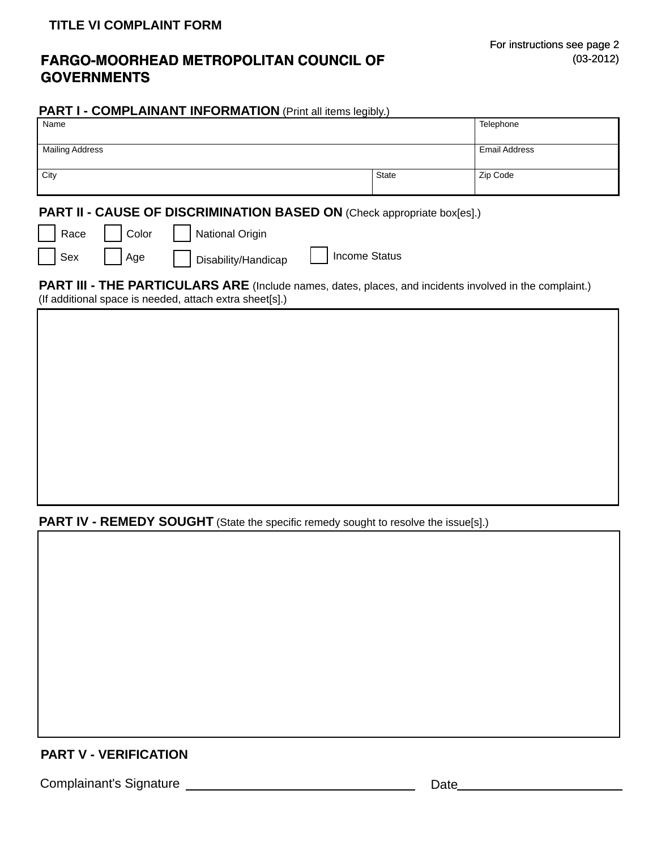## **FARGO-MOORHEAD METROPOLITAN COUNCIL OF GOVERNMENTS**

#### **PART I - COMPLAINANT INFORMATION** (Print all items legibly.)

| Name                   |                      | Telephone |
|------------------------|----------------------|-----------|
|                        |                      |           |
| <b>Mailing Address</b> | <b>Email Address</b> |           |
|                        |                      |           |
| City                   | State                | Zip Code  |
|                        |                      |           |

## PART II - CAUSE OF DISCRIMINATION BASED ON (Check appropriate box[es].)

|  | l Race |  | . Color |  | <b>National Origin</b> |
|--|--------|--|---------|--|------------------------|
|--|--------|--|---------|--|------------------------|

|  | l Sex |  | I Aae |  | Disability/Handicap |
|--|-------|--|-------|--|---------------------|
|--|-------|--|-------|--|---------------------|

**PART III - THE PARTICULARS ARE** (Include names, dates, places, and incidents involved in the complaint.) (If additional space is needed, attach extra sheet[s].)

**Income Status** 

**PART IV - REMEDY SOUGHT** (State the specific remedy sought to resolve the issue[s].)

# **PART V - VERIFICATION**